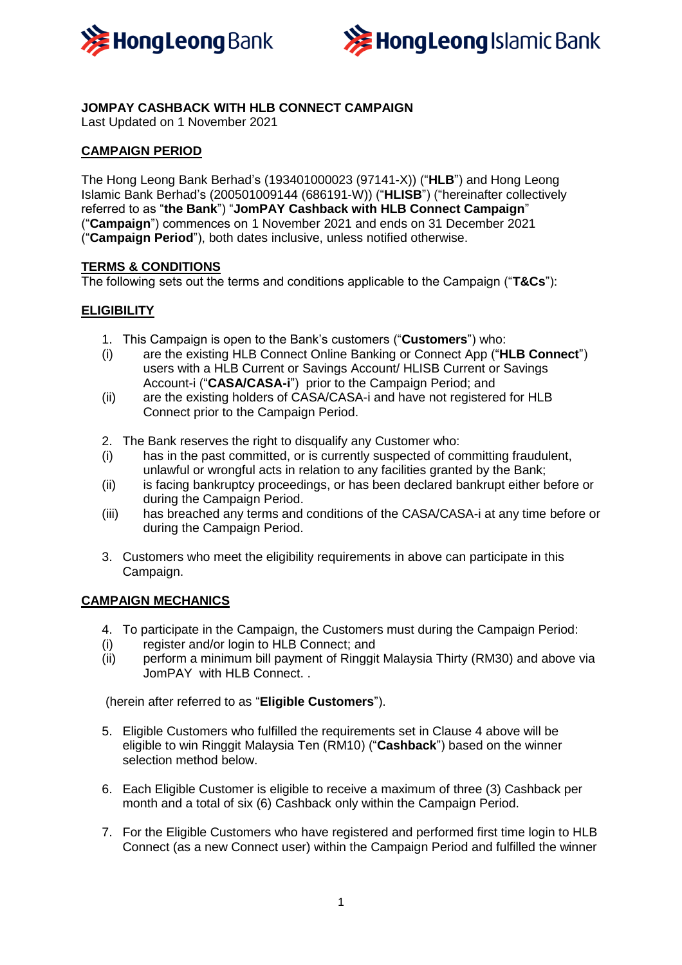



# **JOMPAY CASHBACK WITH HLB CONNECT CAMPAIGN**

Last Updated on 1 November 2021

# **CAMPAIGN PERIOD**

The Hong Leong Bank Berhad's (193401000023 (97141-X)) ("**HLB**") and Hong Leong Islamic Bank Berhad's (200501009144 (686191-W)) ("**HLISB**") ("hereinafter collectively referred to as "**the Bank**") "**JomPAY Cashback with HLB Connect Campaign**" ("**Campaign**") commences on 1 November 2021 and ends on 31 December 2021 ("**Campaign Period**"), both dates inclusive, unless notified otherwise.

## **TERMS & CONDITIONS**

The following sets out the terms and conditions applicable to the Campaign ("**T&Cs**"):

## **ELIGIBILITY**

- 1. This Campaign is open to the Bank's customers ("**Customers**") who:
- (i) are the existing HLB Connect Online Banking or Connect App ("**HLB Connect**") users with a HLB Current or Savings Account/ HLISB Current or Savings Account-i ("**CASA/CASA-i**") prior to the Campaign Period; and
- (ii) are the existing holders of CASA/CASA-i and have not registered for HLB Connect prior to the Campaign Period.
- 2. The Bank reserves the right to disqualify any Customer who:
- (i) has in the past committed, or is currently suspected of committing fraudulent, unlawful or wrongful acts in relation to any facilities granted by the Bank;
- (ii) is facing bankruptcy proceedings, or has been declared bankrupt either before or during the Campaign Period.
- (iii) has breached any terms and conditions of the CASA/CASA-i at any time before or during the Campaign Period.
- 3. Customers who meet the eligibility requirements in above can participate in this Campaign.

### **CAMPAIGN MECHANICS**

- 4. To participate in the Campaign, the Customers must during the Campaign Period:
- (i) register and/or login to HLB Connect; and
- (ii) perform a minimum bill payment of Ringgit Malaysia Thirty (RM30) and above via JomPAY with HLB Connect. .

(herein after referred to as "**Eligible Customers**").

- 5. Eligible Customers who fulfilled the requirements set in Clause 4 above will be eligible to win Ringgit Malaysia Ten (RM10) ("**Cashback**") based on the winner selection method below.
- 6. Each Eligible Customer is eligible to receive a maximum of three (3) Cashback per month and a total of six (6) Cashback only within the Campaign Period.
- 7. For the Eligible Customers who have registered and performed first time login to HLB Connect (as a new Connect user) within the Campaign Period and fulfilled the winner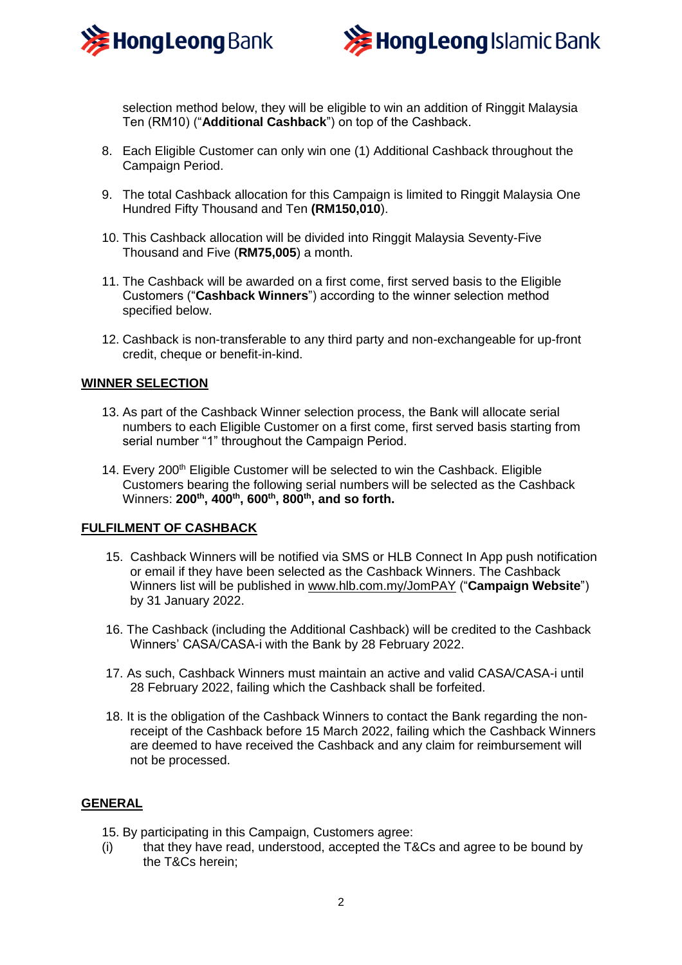



selection method below, they will be eligible to win an addition of Ringgit Malaysia Ten (RM10) ("**Additional Cashback**") on top of the Cashback.

- 8. Each Eligible Customer can only win one (1) Additional Cashback throughout the Campaign Period.
- 9. The total Cashback allocation for this Campaign is limited to Ringgit Malaysia One Hundred Fifty Thousand and Ten **(RM150,010**).
- 10. This Cashback allocation will be divided into Ringgit Malaysia Seventy-Five Thousand and Five (**RM75,005**) a month.
- 11. The Cashback will be awarded on a first come, first served basis to the Eligible Customers ("**Cashback Winners**") according to the winner selection method specified below.
- 12. Cashback is non-transferable to any third party and non-exchangeable for up-front credit, cheque or benefit-in-kind.

#### **WINNER SELECTION**

- 13. As part of the Cashback Winner selection process, the Bank will allocate serial numbers to each Eligible Customer on a first come, first served basis starting from serial number "1" throughout the Campaign Period.
- 14. Every 200<sup>th</sup> Eligible Customer will be selected to win the Cashback. Eligible Customers bearing the following serial numbers will be selected as the Cashback Winners: **200 th , 400th , 600th , 800th , and so forth.**

#### **FULFILMENT OF CASHBACK**

- 15. Cashback Winners will be notified via SMS or HLB Connect In App push notification or email if they have been selected as the Cashback Winners. The Cashback Winners list will be published in www.hlb.com.my/JomPAY ("**Campaign Website**") by 31 January 2022.
- 16. The Cashback (including the Additional Cashback) will be credited to the Cashback Winners' CASA/CASA-i with the Bank by 28 February 2022.
- 17. As such, Cashback Winners must maintain an active and valid CASA/CASA-i until 28 February 2022, failing which the Cashback shall be forfeited.
- 18. It is the obligation of the Cashback Winners to contact the Bank regarding the nonreceipt of the Cashback before 15 March 2022, failing which the Cashback Winners are deemed to have received the Cashback and any claim for reimbursement will not be processed.

### **GENERAL**

- 15. By participating in this Campaign, Customers agree:
- (i) that they have read, understood, accepted the T&Cs and agree to be bound by the T&Cs herein;